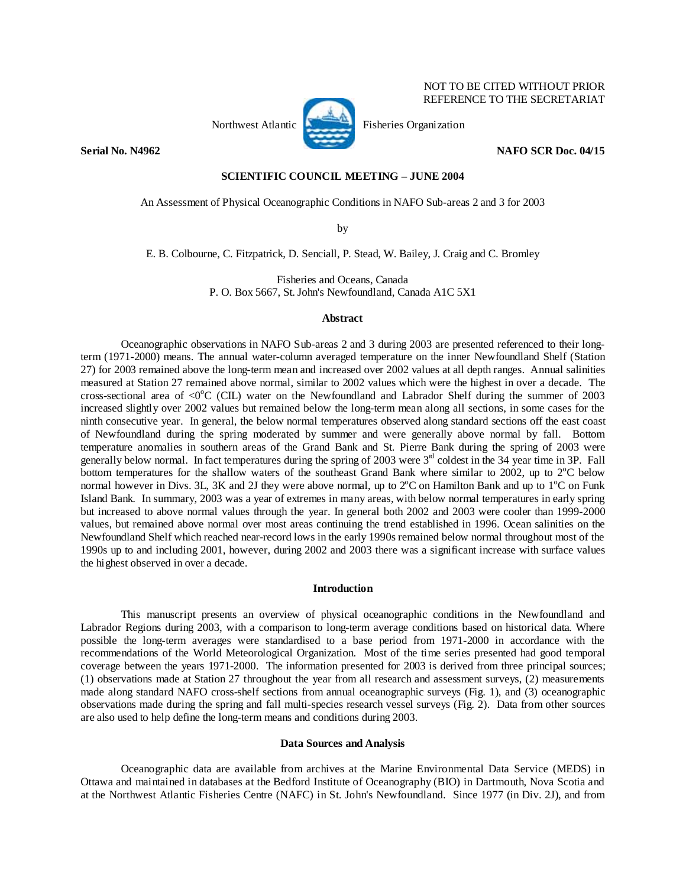

REFERENCE TO THE SECRETARIAT

NOT TO BE CITED WITHOUT PRIOR

**Serial No. N4962 NAFO SCR Doc. 04/15** 

# **SCIENTIFIC COUNCIL MEETING – JUNE 2004**

An Assessment of Physical Oceanographic Conditions in NAFO Sub-areas 2 and 3 for 2003

by

E. B. Colbourne, C. Fitzpatrick, D. Senciall, P. Stead, W. Bailey, J. Craig and C. Bromley

Fisheries and Oceans, Canada P. O. Box 5667, St. John's Newfoundland, Canada A1C 5X1

## **Abstract**

 Oceanographic observations in NAFO Sub-areas 2 and 3 during 2003 are presented referenced to their longterm (1971-2000) means. The annual water-column averaged temperature on the inner Newfoundland Shelf (Station 27) for 2003 remained above the long-term mean and increased over 2002 values at all depth ranges. Annual salinities measured at Station 27 remained above normal, similar to 2002 values which were the highest in over a decade. The cross-sectional area of  $\langle 0^{\circ}C \rangle$  (CIL) water on the Newfoundland and Labrador Shelf during the summer of 2003 increased slightly over 2002 values but remained below the long-term mean along all sections, in some cases for the ninth consecutive year. In general, the below normal temperatures observed along standard sections off the east coast of Newfoundland during the spring moderated by summer and were generally above normal by fall. Bottom temperature anomalies in southern areas of the Grand Bank and St. Pierre Bank during the spring of 2003 were generally below normal. In fact temperatures during the spring of 2003 were  $3<sup>rd</sup>$  coldest in the 34 year time in 3P. Fall bottom temperatures for the shallow waters of the southeast Grand Bank where similar to 2002, up to 2<sup>o</sup>C below normal however in Divs. 3L, 3K and 2J they were above normal, up to  $2^{\circ}$ C on Hamilton Bank and up to  $1^{\circ}$ C on Funk Island Bank. In summary, 2003 was a year of extremes in many areas, with below normal temperatures in early spring but increased to above normal values through the year. In general both 2002 and 2003 were cooler than 1999-2000 values, but remained above normal over most areas continuing the trend established in 1996. Ocean salinities on the Newfoundland Shelf which reached near-record lows in the early 1990s remained below normal throughout most of the 1990s up to and including 2001, however, during 2002 and 2003 there was a significant increase with surface values the highest observed in over a decade.

# **Introduction**

 This manuscript presents an overview of physical oceanographic conditions in the Newfoundland and Labrador Regions during 2003, with a comparison to long-term average conditions based on historical data. Where possible the long-term averages were standardised to a base period from 1971-2000 in accordance with the recommendations of the World Meteorological Organization. Most of the time series presented had good temporal coverage between the years 1971-2000. The information presented for 2003 is derived from three principal sources; (1) observations made at Station 27 throughout the year from all research and assessment surveys, (2) measurements made along standard NAFO cross-shelf sections from annual oceanographic surveys (Fig. 1), and (3) oceanographic observations made during the spring and fall multi-species research vessel surveys (Fig. 2). Data from other sources are also used to help define the long-term means and conditions during 2003.

#### **Data Sources and Analysis**

Oceanographic data are available from archives at the Marine Environmental Data Service (MEDS) in Ottawa and maintained in databases at the Bedford Institute of Oceanography (BIO) in Dartmouth, Nova Scotia and at the Northwest Atlantic Fisheries Centre (NAFC) in St. John's Newfoundland. Since 1977 (in Div. 2J), and from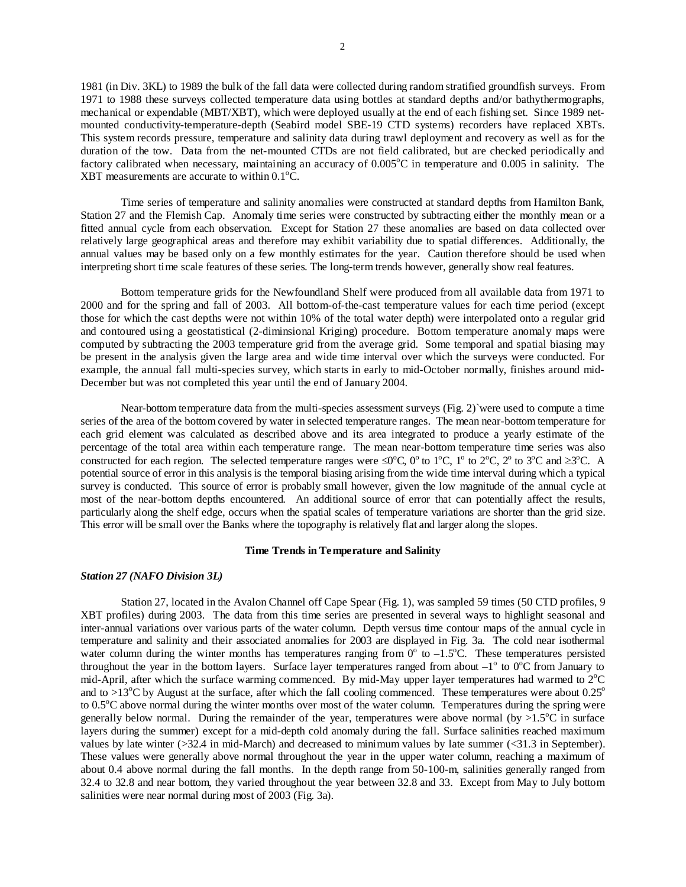1981 (in Div. 3KL) to 1989 the bulk of the fall data were collected during random stratified groundfish surveys. From 1971 to 1988 these surveys collected temperature data using bottles at standard depths and/or bathythermographs, mechanical or expendable (MBT/XBT), which were deployed usually at the end of each fishing set. Since 1989 netmounted conductivity-temperature-depth (Seabird model SBE-19 CTD systems) recorders have replaced XBTs. This system records pressure, temperature and salinity data during trawl deployment and recovery as well as for the duration of the tow. Data from the net-mounted CTDs are not field calibrated, but are checked periodically and factory calibrated when necessary, maintaining an accuracy of  $0.005^{\circ}$ C in temperature and  $0.005$  in salinity. The XBT measurements are accurate to within  $0.1\textdegree C$ .

 Time series of temperature and salinity anomalies were constructed at standard depths from Hamilton Bank, Station 27 and the Flemish Cap. Anomaly time series were constructed by subtracting either the monthly mean or a fitted annual cycle from each observation. Except for Station 27 these anomalies are based on data collected over relatively large geographical areas and therefore may exhibit variability due to spatial differences. Additionally, the annual values may be based only on a few monthly estimates for the year. Caution therefore should be used when interpreting short time scale features of these series. The long-term trends however, generally show real features.

 Bottom temperature grids for the Newfoundland Shelf were produced from all available data from 1971 to 2000 and for the spring and fall of 2003. All bottom-of-the-cast temperature values for each time period (except those for which the cast depths were not within 10% of the total water depth) were interpolated onto a regular grid and contoured using a geostatistical (2-diminsional Kriging) procedure. Bottom temperature anomaly maps were computed by subtracting the 2003 temperature grid from the average grid. Some temporal and spatial biasing may be present in the analysis given the large area and wide time interval over which the surveys were conducted. For example, the annual fall multi-species survey, which starts in early to mid-October normally, finishes around mid-December but was not completed this year until the end of January 2004.

Near-bottom temperature data from the multi-species assessment surveys (Fig. 2)`were used to compute a time series of the area of the bottom covered by water in selected temperature ranges. The mean near-bottom temperature for each grid element was calculated as described above and its area integrated to produce a yearly estimate of the percentage of the total area within each temperature range. The mean near-bottom temperature time series was also constructed for each region. The selected temperature ranges were  $\leq 0^{\circ}$ C, 0<sup>o</sup> to 1<sup>o</sup>C, 1<sup>o</sup> to 2<sup>o</sup>C, 2<sup>o</sup> to 3<sup>o</sup>C and  $\geq 3^{\circ}$ C. A potential source of error in this analysis is the temporal biasing arising from the wide time interval during which a typical survey is conducted. This source of error is probably small however, given the low magnitude of the annual cycle at most of the near-bottom depths encountered. An additional source of error that can potentially affect the results, particularly along the shelf edge, occurs when the spatial scales of temperature variations are shorter than the grid size. This error will be small over the Banks where the topography is relatively flat and larger along the slopes.

## **Time Trends in Temperature and Salinity**

## *Station 27 (NAFO Division 3L)*

 Station 27, located in the Avalon Channel off Cape Spear (Fig. 1), was sampled 59 times (50 CTD profiles, 9 XBT profiles) during 2003. The data from this time series are presented in several ways to highlight seasonal and inter-annual variations over various parts of the water column. Depth versus time contour maps of the annual cycle in temperature and salinity and their associated anomalies for 2003 are displayed in Fig. 3a. The cold near isothermal water column during the winter months has temperatures ranging from  $0^{\circ}$  to  $-1.5^{\circ}$ C. These temperatures persisted throughout the year in the bottom layers. Surface layer temperatures ranged from about  $-1^\circ$  to  $0^\circ$ C from January to mid-April, after which the surface warming commenced. By mid-May upper layer temperatures had warmed to  $2^{\circ}C$ and to >13<sup>o</sup>C by August at the surface, after which the fall cooling commenced. These temperatures were about  $0.25^{\circ}$ to 0.5<sup>o</sup>C above normal during the winter months over most of the water column. Temperatures during the spring were generally below normal. During the remainder of the year, temperatures were above normal (by  $>1.5^{\circ}\text{C}$  in surface layers during the summer) except for a mid-depth cold anomaly during the fall. Surface salinities reached maximum values by late winter (>32.4 in mid-March) and decreased to minimum values by late summer (<31.3 in September). These values were generally above normal throughout the year in the upper water column, reaching a maximum of about 0.4 above normal during the fall months. In the depth range from 50-100-m, salinities generally ranged from 32.4 to 32.8 and near bottom, they varied throughout the year between 32.8 and 33. Except from May to July bottom salinities were near normal during most of 2003 (Fig. 3a).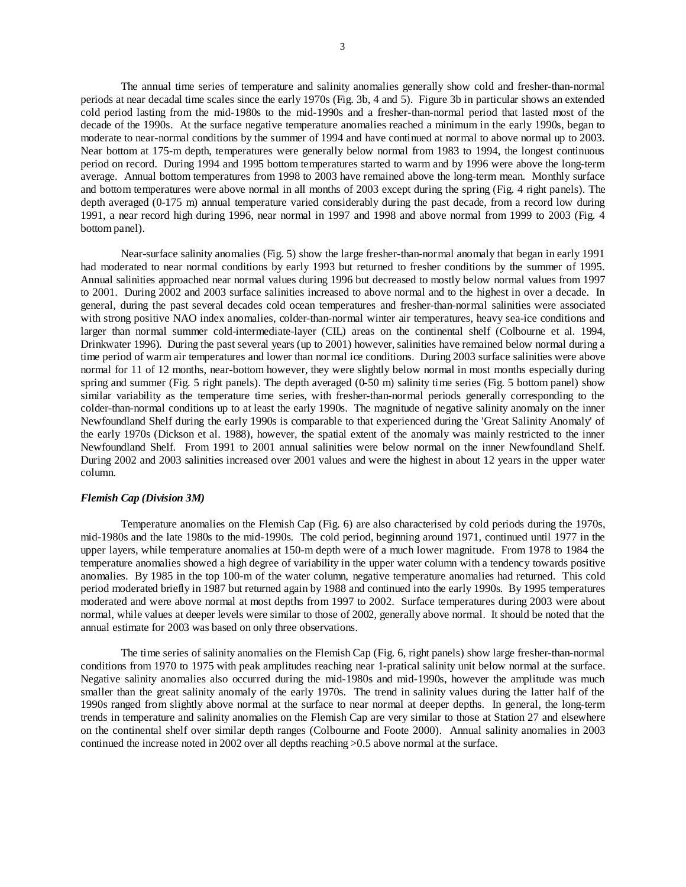The annual time series of temperature and salinity anomalies generally show cold and fresher-than-normal periods at near decadal time scales since the early 1970s (Fig. 3b, 4 and 5). Figure 3b in particular shows an extended cold period lasting from the mid-1980s to the mid-1990s and a fresher-than-normal period that lasted most of the decade of the 1990s. At the surface negative temperature anomalies reached a minimum in the early 1990s, began to moderate to near-normal conditions by the summer of 1994 and have continued at normal to above normal up to 2003. Near bottom at 175-m depth, temperatures were generally below normal from 1983 to 1994, the longest continuous period on record. During 1994 and 1995 bottom temperatures started to warm and by 1996 were above the long-term average. Annual bottom temperatures from 1998 to 2003 have remained above the long-term mean. Monthly surface and bottom temperatures were above normal in all months of 2003 except during the spring (Fig. 4 right panels). The depth averaged (0-175 m) annual temperature varied considerably during the past decade, from a record low during 1991, a near record high during 1996, near normal in 1997 and 1998 and above normal from 1999 to 2003 (Fig. 4 bottom panel).

 Near-surface salinity anomalies (Fig. 5) show the large fresher-than-normal anomaly that began in early 1991 had moderated to near normal conditions by early 1993 but returned to fresher conditions by the summer of 1995. Annual salinities approached near normal values during 1996 but decreased to mostly below normal values from 1997 to 2001. During 2002 and 2003 surface salinities increased to above normal and to the highest in over a decade. In general, during the past several decades cold ocean temperatures and fresher-than-normal salinities were associated with strong positive NAO index anomalies, colder-than-normal winter air temperatures, heavy sea-ice conditions and larger than normal summer cold-intermediate-layer (CIL) areas on the continental shelf (Colbourne et al. 1994, Drinkwater 1996). During the past several years (up to 2001) however, salinities have remained below normal during a time period of warm air temperatures and lower than normal ice conditions. During 2003 surface salinities were above normal for 11 of 12 months, near-bottom however, they were slightly below normal in most months especially during spring and summer (Fig. 5 right panels). The depth averaged (0-50 m) salinity time series (Fig. 5 bottom panel) show similar variability as the temperature time series, with fresher-than-normal periods generally corresponding to the colder-than-normal conditions up to at least the early 1990s. The magnitude of negative salinity anomaly on the inner Newfoundland Shelf during the early 1990s is comparable to that experienced during the 'Great Salinity Anomaly' of the early 1970s (Dickson et al. 1988), however, the spatial extent of the anomaly was mainly restricted to the inner Newfoundland Shelf. From 1991 to 2001 annual salinities were below normal on the inner Newfoundland Shelf. During 2002 and 2003 salinities increased over 2001 values and were the highest in about 12 years in the upper water column.

# *Flemish Cap (Division 3M)*

 Temperature anomalies on the Flemish Cap (Fig. 6) are also characterised by cold periods during the 1970s, mid-1980s and the late 1980s to the mid-1990s. The cold period, beginning around 1971, continued until 1977 in the upper layers, while temperature anomalies at 150-m depth were of a much lower magnitude. From 1978 to 1984 the temperature anomalies showed a high degree of variability in the upper water column with a tendency towards positive anomalies. By 1985 in the top 100-m of the water column, negative temperature anomalies had returned. This cold period moderated briefly in 1987 but returned again by 1988 and continued into the early 1990s. By 1995 temperatures moderated and were above normal at most depths from 1997 to 2002. Surface temperatures during 2003 were about normal, while values at deeper levels were similar to those of 2002, generally above normal. It should be noted that the annual estimate for 2003 was based on only three observations.

 The time series of salinity anomalies on the Flemish Cap (Fig. 6, right panels) show large fresher-than-normal conditions from 1970 to 1975 with peak amplitudes reaching near 1-pratical salinity unit below normal at the surface. Negative salinity anomalies also occurred during the mid-1980s and mid-1990s, however the amplitude was much smaller than the great salinity anomaly of the early 1970s. The trend in salinity values during the latter half of the 1990s ranged from slightly above normal at the surface to near normal at deeper depths. In general, the long-term trends in temperature and salinity anomalies on the Flemish Cap are very similar to those at Station 27 and elsewhere on the continental shelf over similar depth ranges (Colbourne and Foote 2000). Annual salinity anomalies in 2003 continued the increase noted in 2002 over all depths reaching >0.5 above normal at the surface.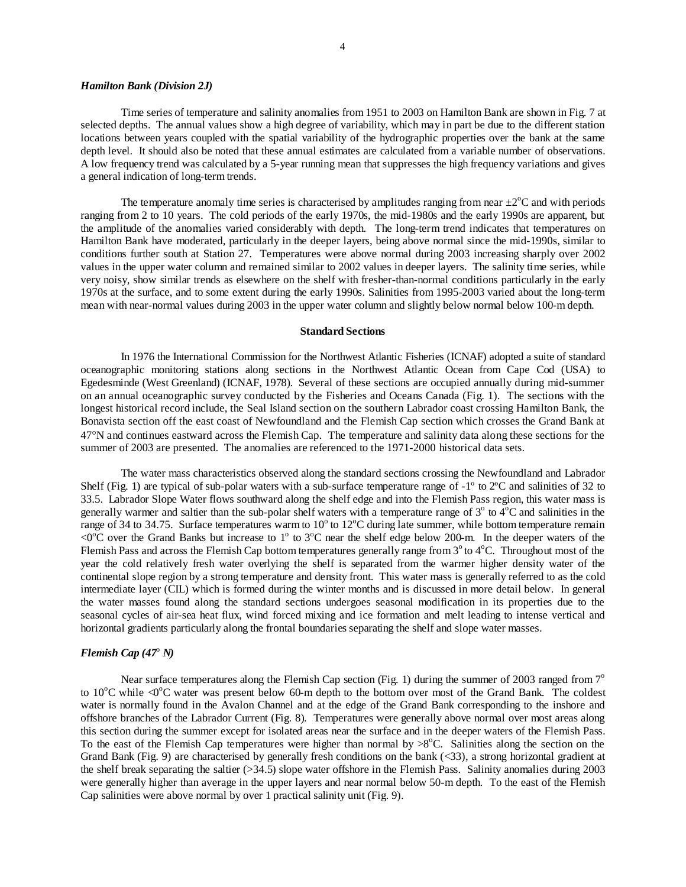## *Hamilton Bank (Division 2J)*

 Time series of temperature and salinity anomalies from 1951 to 2003 on Hamilton Bank are shown in Fig. 7 at selected depths. The annual values show a high degree of variability, which may in part be due to the different station locations between years coupled with the spatial variability of the hydrographic properties over the bank at the same depth level. It should also be noted that these annual estimates are calculated from a variable number of observations. A low frequency trend was calculated by a 5-year running mean that suppresses the high frequency variations and gives a general indication of long-term trends.

The temperature anomaly time series is characterised by amplitudes ranging from near  $\pm 2^{\circ}$ C and with periods ranging from 2 to 10 years. The cold periods of the early 1970s, the mid-1980s and the early 1990s are apparent, but the amplitude of the anomalies varied considerably with depth. The long-term trend indicates that temperatures on Hamilton Bank have moderated, particularly in the deeper layers, being above normal since the mid-1990s, similar to conditions further south at Station 27. Temperatures were above normal during 2003 increasing sharply over 2002 values in the upper water column and remained similar to 2002 values in deeper layers. The salinity time series, while very noisy, show similar trends as elsewhere on the shelf with fresher-than-normal conditions particularly in the early 1970s at the surface, and to some extent during the early 1990s. Salinities from 1995-2003 varied about the long-term mean with near-normal values during 2003 in the upper water column and slightly below normal below 100-m depth.

## **Standard Sections**

In 1976 the International Commission for the Northwest Atlantic Fisheries (ICNAF) adopted a suite of standard oceanographic monitoring stations along sections in the Northwest Atlantic Ocean from Cape Cod (USA) to Egedesminde (West Greenland) (ICNAF, 1978). Several of these sections are occupied annually during mid-summer on an annual oceanographic survey conducted by the Fisheries and Oceans Canada (Fig. 1). The sections with the longest historical record include, the Seal Island section on the southern Labrador coast crossing Hamilton Bank, the Bonavista section off the east coast of Newfoundland and the Flemish Cap section which crosses the Grand Bank at 47°N and continues eastward across the Flemish Cap. The temperature and salinity data along these sections for the summer of 2003 are presented. The anomalies are referenced to the 1971-2000 historical data sets.

 The water mass characteristics observed along the standard sections crossing the Newfoundland and Labrador Shelf (Fig. 1) are typical of sub-polar waters with a sub-surface temperature range of  $-1^\circ$  to  $2^\circ$ C and salinities of 32 to 33.5. Labrador Slope Water flows southward along the shelf edge and into the Flemish Pass region, this water mass is generally warmer and saltier than the sub-polar shelf waters with a temperature range of  $3^\circ$  to  $4^\circ$ C and salinities in the range of 34 to 34.75. Surface temperatures warm to 10 $^{\circ}$  to 12 $^{\circ}$ C during late summer, while bottom temperature remain  $\langle 0^{\circ}$ C over the Grand Banks but increase to 1° to 3°C near the shelf edge below 200-m. In the deeper waters of the Flemish Pass and across the Flemish Cap bottom temperatures generally range from  $3^\circ$  to  $4^\circ$ C. Throughout most of the year the cold relatively fresh water overlying the shelf is separated from the warmer higher density water of the continental slope region by a strong temperature and density front. This water mass is generally referred to as the cold intermediate layer (CIL) which is formed during the winter months and is discussed in more detail below. In general the water masses found along the standard sections undergoes seasonal modification in its properties due to the seasonal cycles of air-sea heat flux, wind forced mixing and ice formation and melt leading to intense vertical and horizontal gradients particularly along the frontal boundaries separating the shelf and slope water masses.

# *Flemish Cap* (47<sup>°</sup> *N*)

Near surface temperatures along the Flemish Cap section (Fig. 1) during the summer of 2003 ranged from  $7^{\circ}$ to 10°C while <0°C water was present below 60-m depth to the bottom over most of the Grand Bank. The coldest water is normally found in the Avalon Channel and at the edge of the Grand Bank corresponding to the inshore and offshore branches of the Labrador Current (Fig. 8). Temperatures were generally above normal over most areas along this section during the summer except for isolated areas near the surface and in the deeper waters of the Flemish Pass. To the east of the Flemish Cap temperatures were higher than normal by  $>8^{\circ}$ C. Salinities along the section on the Grand Bank (Fig. 9) are characterised by generally fresh conditions on the bank (<33), a strong horizontal gradient at the shelf break separating the saltier (>34.5) slope water offshore in the Flemish Pass. Salinity anomalies during 2003 were generally higher than average in the upper layers and near normal below 50-m depth. To the east of the Flemish Cap salinities were above normal by over 1 practical salinity unit (Fig. 9).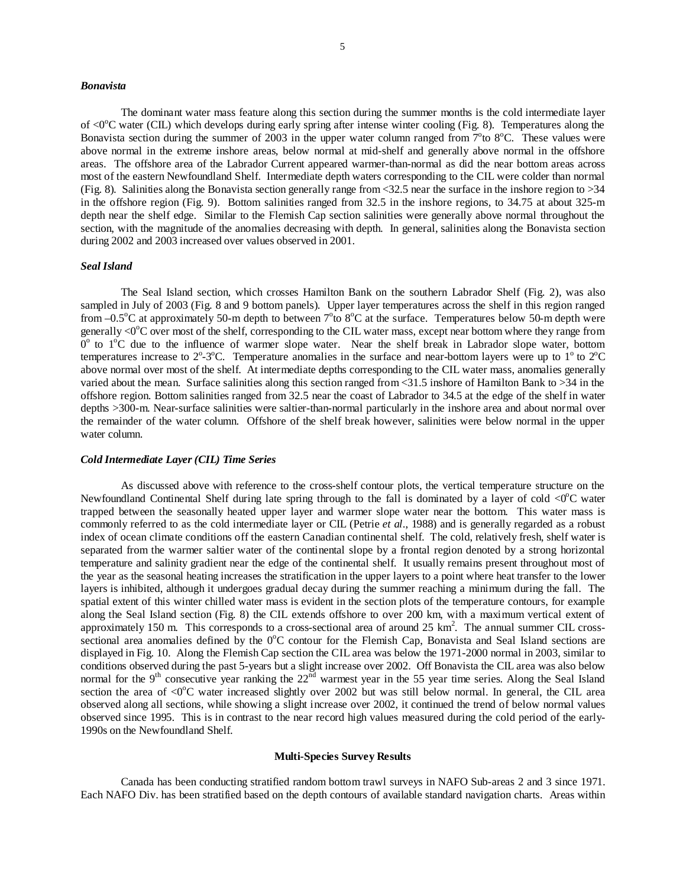### *Bonavista*

 The dominant water mass feature along this section during the summer months is the cold intermediate layer of <0<sup>o</sup>C water (CIL) which develops during early spring after intense winter cooling (Fig. 8). Temperatures along the Bonavista section during the summer of 2003 in the upper water column ranged from  $7^{\circ}$ to  $8^{\circ}$ C. These values were above normal in the extreme inshore areas, below normal at mid-shelf and generally above normal in the offshore areas. The offshore area of the Labrador Current appeared warmer-than-normal as did the near bottom areas across most of the eastern Newfoundland Shelf. Intermediate depth waters corresponding to the CIL were colder than normal (Fig. 8). Salinities along the Bonavista section generally range from  $\langle 32.5 \rangle$  near the surface in the inshore region to  $>34$ in the offshore region (Fig. 9). Bottom salinities ranged from 32.5 in the inshore regions, to 34.75 at about 325-m depth near the shelf edge. Similar to the Flemish Cap section salinities were generally above normal throughout the section, with the magnitude of the anomalies decreasing with depth. In general, salinities along the Bonavista section during 2002 and 2003 increased over values observed in 2001.

## *Seal Island*

 The Seal Island section, which crosses Hamilton Bank on the southern Labrador Shelf (Fig. 2), was also sampled in July of 2003 (Fig. 8 and 9 bottom panels). Upper layer temperatures across the shelf in this region ranged from  $-0.5^{\circ}$ C at approximately 50-m depth to between  $7^{\circ}$ to  $8^{\circ}$ C at the surface. Temperatures below 50-m depth were generally  $\langle 0^{\circ}$ C over most of the shelf, corresponding to the CIL water mass, except near bottom where they range from  $0^{\circ}$  to  $1^{\circ}$ C due to the influence of warmer slope water. Near the shelf break in Labrador slope water, bottom temperatures increase to  $2^{\circ}$ -3<sup>o</sup>C. Temperature anomalies in the surface and near-bottom layers were up to  $1^{\circ}$  to  $2^{\circ}$ C above normal over most of the shelf. At intermediate depths corresponding to the CIL water mass, anomalies generally varied about the mean. Surface salinities along this section ranged from <31.5 inshore of Hamilton Bank to >34 in the offshore region. Bottom salinities ranged from 32.5 near the coast of Labrador to 34.5 at the edge of the shelf in water depths >300-m. Near-surface salinities were saltier-than-normal particularly in the inshore area and about normal over the remainder of the water column. Offshore of the shelf break however, salinities were below normal in the upper water column.

## *Cold Intermediate Layer (CIL) Time Series*

 As discussed above with reference to the cross-shelf contour plots, the vertical temperature structure on the Newfoundland Continental Shelf during late spring through to the fall is dominated by a layer of cold  $\langle 0^{\circ}C \rangle$  water trapped between the seasonally heated upper layer and warmer slope water near the bottom. This water mass is commonly referred to as the cold intermediate layer or CIL (Petrie *et al*., 1988) and is generally regarded as a robust index of ocean climate conditions off the eastern Canadian continental shelf. The cold, relatively fresh, shelf water is separated from the warmer saltier water of the continental slope by a frontal region denoted by a strong horizontal temperature and salinity gradient near the edge of the continental shelf. It usually remains present throughout most of the year as the seasonal heating increases the stratification in the upper layers to a point where heat transfer to the lower layers is inhibited, although it undergoes gradual decay during the summer reaching a minimum during the fall. The spatial extent of this winter chilled water mass is evident in the section plots of the temperature contours, for example along the Seal Island section (Fig. 8) the CIL extends offshore to over 200 km, with a maximum vertical extent of approximately 150 m. This corresponds to a cross-sectional area of around 25  $\text{km}^2$ . The annual summer CIL crosssectional area anomalies defined by the  $0^{\circ}$ C contour for the Flemish Cap, Bonavista and Seal Island sections are displayed in Fig. 10. Along the Flemish Cap section the CIL area was below the 1971-2000 normal in 2003, similar to conditions observed during the past 5-years but a slight increase over 2002. Off Bonavista the CIL area was also below normal for the 9<sup>th</sup> consecutive year ranking the 22<sup>nd</sup> warmest year in the 55 year time series. Along the Seal Island section the area of  $\langle 0^{\circ}$ C water increased slightly over 2002 but was still below normal. In general, the CIL area observed along all sections, while showing a slight increase over 2002, it continued the trend of below normal values observed since 1995. This is in contrast to the near record high values measured during the cold period of the early-1990s on the Newfoundland Shelf.

# **Multi-Species Survey Results**

 Canada has been conducting stratified random bottom trawl surveys in NAFO Sub-areas 2 and 3 since 1971. Each NAFO Div. has been stratified based on the depth contours of available standard navigation charts. Areas within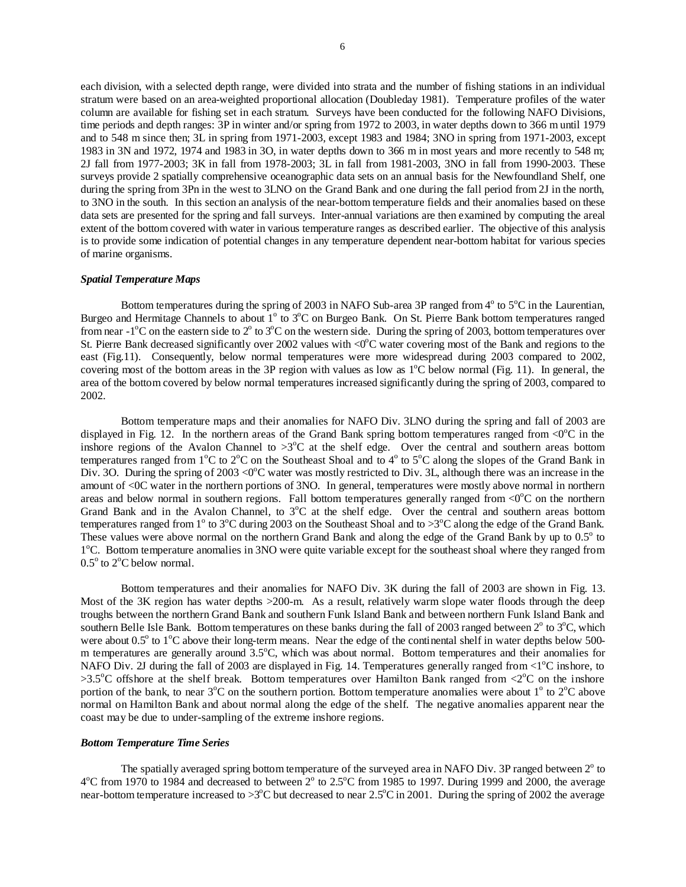each division, with a selected depth range, were divided into strata and the number of fishing stations in an individual stratum were based on an area-weighted proportional allocation (Doubleday 1981). Temperature profiles of the water column are available for fishing set in each stratum. Surveys have been conducted for the following NAFO Divisions, time periods and depth ranges: 3P in winter and/or spring from 1972 to 2003, in water depths down to 366 m until 1979 and to 548 m since then; 3L in spring from 1971-2003, except 1983 and 1984; 3NO in spring from 1971-2003, except 1983 in 3N and 1972, 1974 and 1983 in 3O, in water depths down to 366 m in most years and more recently to 548 m; 2J fall from 1977-2003; 3K in fall from 1978-2003; 3L in fall from 1981-2003, 3NO in fall from 1990-2003. These surveys provide 2 spatially comprehensive oceanographic data sets on an annual basis for the Newfoundland Shelf, one during the spring from 3Pn in the west to 3LNO on the Grand Bank and one during the fall period from 2J in the north, to 3NO in the south. In this section an analysis of the near-bottom temperature fields and their anomalies based on these data sets are presented for the spring and fall surveys. Inter-annual variations are then examined by computing the areal extent of the bottom covered with water in various temperature ranges as described earlier. The objective of this analysis is to provide some indication of potential changes in any temperature dependent near-bottom habitat for various species of marine organisms.

#### *Spatial Temperature Maps*

Bottom temperatures during the spring of 2003 in NAFO Sub-area 3P ranged from  $4^{\circ}$  to  $5^{\circ}$ C in the Laurentian, Burgeo and Hermitage Channels to about 1<sup>°</sup> to 3<sup>°</sup>C on Burgeo Bank. On St. Pierre Bank bottom temperatures ranged from near  $-1^{\circ}$ C on the eastern side to  $2^{\circ}$  to  $3^{\circ}$ C on the western side. During the spring of 2003, bottom temperatures over St. Pierre Bank decreased significantly over 2002 values with  $\langle 0^{\circ}C$  water covering most of the Bank and regions to the east (Fig.11). Consequently, below normal temperatures were more widespread during 2003 compared to 2002, covering most of the bottom areas in the 3P region with values as low as  $1^{\circ}$ C below normal (Fig. 11). In general, the area of the bottom covered by below normal temperatures increased significantly during the spring of 2003, compared to 2002.

 Bottom temperature maps and their anomalies for NAFO Div. 3LNO during the spring and fall of 2003 are displayed in Fig. 12. In the northern areas of the Grand Bank spring bottom temperatures ranged from  $\langle 0^{\circ}C \rangle$  in the inshore regions of the Avalon Channel to  $>3^{\circ}$ C at the shelf edge. Over the central and southern areas bottom temperatures ranged from  $1^{\circ}$ C to  $2^{\circ}$ C on the Southeast Shoal and to  $4^{\circ}$  to  $5^{\circ}$ C along the slopes of the Grand Bank in Div. 3O. During the spring of 2003 <0 $^{\circ}$ C water was mostly restricted to Div. 3L, although there was an increase in the amount of <0C water in the northern portions of 3NO. In general, temperatures were mostly above normal in northern areas and below normal in southern regions. Fall bottom temperatures generally ranged from  $\langle 0^{\circ}$ C on the northern Grand Bank and in the Avalon Channel, to 3<sup>o</sup>C at the shelf edge. Over the central and southern areas bottom temperatures ranged from 1<sup>o</sup> to 3<sup>o</sup>C during 2003 on the Southeast Shoal and to >3<sup>o</sup>C along the edge of the Grand Bank. These values were above normal on the northern Grand Bank and along the edge of the Grand Bank by up to  $0.5^\circ$  to 1<sup>o</sup>C. Bottom temperature anomalies in 3NO were quite variable except for the southeast shoal where they ranged from  $0.5^{\circ}$  to  $2^{\circ}$ C below normal.

Bottom temperatures and their anomalies for NAFO Div. 3K during the fall of 2003 are shown in Fig. 13. Most of the 3K region has water depths >200-m. As a result, relatively warm slope water floods through the deep troughs between the northern Grand Bank and southern Funk Island Bank and between northern Funk Island Bank and southern Belle Isle Bank. Bottom temperatures on these banks during the fall of 2003 ranged between  $2^{\circ}$  to  $3^{\circ}$ C, which were about 0.5° to 1°C above their long-term means. Near the edge of the continental shelf in water depths below 500m temperatures are generally around 3.5°C, which was about normal. Bottom temperatures and their anomalies for NAFO Div. 2J during the fall of 2003 are displayed in Fig. 14. Temperatures generally ranged from  $\langle 1^{\circ}$ C inshore, to  $>3.5^{\circ}$ C offshore at the shelf break. Bottom temperatures over Hamilton Bank ranged from  $\langle 2^{\circ}$ C on the inshore portion of the bank, to near  $3^{\circ}$ C on the southern portion. Bottom temperature anomalies were about  $1^{\circ}$  to  $2^{\circ}$ C above normal on Hamilton Bank and about normal along the edge of the shelf. The negative anomalies apparent near the coast may be due to under-sampling of the extreme inshore regions.

#### *Bottom Temperature Time Series*

The spatially averaged spring bottom temperature of the surveyed area in NAFO Div. 3P ranged between  $2^{\circ}$  to  $4^{\circ}$ C from 1970 to 1984 and decreased to between  $2^{\circ}$  to 2.5 $^{\circ}$ C from 1985 to 1997. During 1999 and 2000, the average near-bottom temperature increased to  $>3^{\circ}$ C but decreased to near 2.5°C in 2001. During the spring of 2002 the average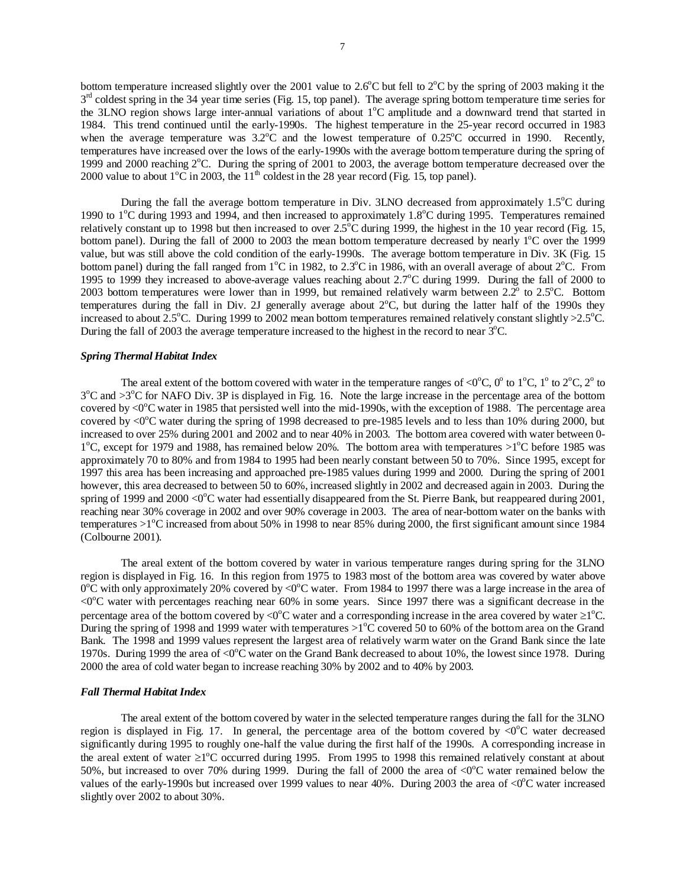bottom temperature increased slightly over the 2001 value to  $2.6^{\circ}$ C but fell to  $2^{\circ}$ C by the spring of 2003 making it the  $3<sup>rd</sup>$  coldest spring in the 34 year time series (Fig. 15, top panel). The average spring bottom temperature time series for the 3LNO region shows large inter-annual variations of about 1°C amplitude and a downward trend that started in 1984. This trend continued until the early-1990s. The highest temperature in the 25-year record occurred in 1983 when the average temperature was  $3.2^{\circ}$ C and the lowest temperature of  $0.25^{\circ}$ C occurred in 1990. Recently, temperatures have increased over the lows of the early-1990s with the average bottom temperature during the spring of 1999 and 2000 reaching 2°C. During the spring of 2001 to 2003, the average bottom temperature decreased over the 2000 value to about  $1^{\circ}$ C in 2003, the  $11^{\text{th}}$  coldest in the 28 year record (Fig. 15, top panel).

During the fall the average bottom temperature in Div.  $3LNO$  decreased from approximately  $1.5^{\circ}C$  during 1990 to 1<sup>o</sup>C during 1993 and 1994, and then increased to approximately 1.8<sup>o</sup>C during 1995. Temperatures remained relatively constant up to 1998 but then increased to over  $2.5^{\circ}$ C during 1999, the highest in the 10 year record (Fig. 15, bottom panel). During the fall of 2000 to 2003 the mean bottom temperature decreased by nearly 1<sup>o</sup>C over the 1999 value, but was still above the cold condition of the early-1990s. The average bottom temperature in Div. 3K (Fig. 15 bottom panel) during the fall ranged from  $1^{\circ}$ C in 1982, to 2.3 $^{\circ}$ C in 1986, with an overall average of about  $2^{\circ}$ C. From 1995 to 1999 they increased to above-average values reaching about 2.7°C during 1999. During the fall of 2000 to 2003 bottom temperatures were lower than in 1999, but remained relatively warm between  $2.2^{\circ}$  to  $2.5^{\circ}$ C. Bottom temperatures during the fall in Div. 2J generally average about 2°C, but during the latter half of the 1990s they increased to about  $2.5^{\circ}$ C. During 1999 to 2002 mean bottom temperatures remained relatively constant slightly >  $2.5^{\circ}$ C. During the fall of 2003 the average temperature increased to the highest in the record to near  $3^{\circ}$ C.

## *Spring Thermal Habitat Index*

The areal extent of the bottom covered with water in the temperature ranges of <0 $^{\circ}$ C, 0 $^{\circ}$  to 1 $^{\circ}$ C, 1 $^{\circ}$  to 2 $^{\circ}$ C, 2 $^{\circ}$  to  $3^{\circ}$ C and  $>3^{\circ}$ C for NAFO Div. 3P is displayed in Fig. 16. Note the large increase in the percentage area of the bottom covered by <0 $^{\circ}$ C water in 1985 that persisted well into the mid-1990s, with the exception of 1988. The percentage area covered by <0°C water during the spring of 1998 decreased to pre-1985 levels and to less than 10% during 2000, but increased to over 25% during 2001 and 2002 and to near 40% in 2003. The bottom area covered with water between 0-  $1^{\circ}$ C, except for 1979 and 1988, has remained below 20%. The bottom area with temperatures  $>1^{\circ}$ C before 1985 was approximately 70 to 80% and from 1984 to 1995 had been nearly constant between 50 to 70%. Since 1995, except for 1997 this area has been increasing and approached pre-1985 values during 1999 and 2000. During the spring of 2001 however, this area decreased to between 50 to 60%, increased slightly in 2002 and decreased again in 2003. During the spring of 1999 and 2000 <0°C water had essentially disappeared from the St. Pierre Bank, but reappeared during 2001, reaching near 30% coverage in 2002 and over 90% coverage in 2003. The area of near-bottom water on the banks with temperatures >1°C increased from about 50% in 1998 to near 85% during 2000, the first significant amount since 1984 (Colbourne 2001).

The areal extent of the bottom covered by water in various temperature ranges during spring for the 3LNO region is displayed in Fig. 16. In this region from 1975 to 1983 most of the bottom area was covered by water above  $0^{\circ}$ C with only approximately 20% covered by <0 $^{\circ}$ C water. From 1984 to 1997 there was a large increase in the area of <0°C water with percentages reaching near 60% in some years. Since 1997 there was a significant decrease in the percentage area of the bottom covered by <0 $^{\circ}$ C water and a corresponding increase in the area covered by water  $\geq$ 1 $^{\circ}$ C. During the spring of 1998 and 1999 water with temperatures  $>1^{\circ}$ C covered 50 to 60% of the bottom area on the Grand Bank. The 1998 and 1999 values represent the largest area of relatively warm water on the Grand Bank since the late 1970s. During 1999 the area of <0 $^{\circ}$ C water on the Grand Bank decreased to about 10%, the lowest since 1978. During 2000 the area of cold water began to increase reaching 30% by 2002 and to 40% by 2003.

### *Fall Thermal Habitat Index*

 The areal extent of the bottom covered by water in the selected temperature ranges during the fall for the 3LNO region is displayed in Fig. 17. In general, the percentage area of the bottom covered by  $\langle 0^{\circ}C \rangle$  water decreased significantly during 1995 to roughly one-half the value during the first half of the 1990s. A corresponding increase in the areal extent of water  $\geq 1^{\circ}$ C occurred during 1995. From 1995 to 1998 this remained relatively constant at about 50%, but increased to over 70% during 1999. During the fall of 2000 the area of  $\langle 0^{\circ}$ C water remained below the values of the early-1990s but increased over 1999 values to near 40%. During 2003 the area of  $\langle 0^{\circ}$ C water increased slightly over 2002 to about 30%.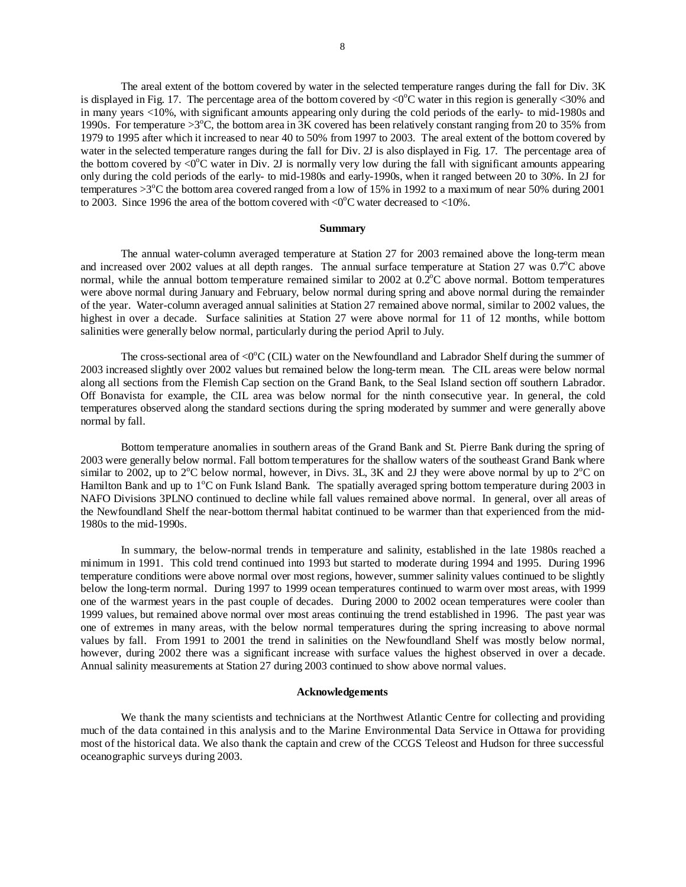The areal extent of the bottom covered by water in the selected temperature ranges during the fall for Div. 3K is displayed in Fig. 17. The percentage area of the bottom covered by  $\langle 0^{\circ}$ C water in this region is generally  $\langle 30^{\circ}$  and in many years <10%, with significant amounts appearing only during the cold periods of the early- to mid-1980s and 1990s. For temperature  $>3^{\circ}C$ , the bottom area in  $3K$  covered has been relatively constant ranging from 20 to 35% from 1979 to 1995 after which it increased to near 40 to 50% from 1997 to 2003. The areal extent of the bottom covered by water in the selected temperature ranges during the fall for Div. 2J is also displayed in Fig. 17. The percentage area of the bottom covered by  $\langle 0^{\circ}$ C water in Div. 2J is normally very low during the fall with significant amounts appearing only during the cold periods of the early- to mid-1980s and early-1990s, when it ranged between 20 to 30%. In 2J for temperatures  $>3$ <sup>o</sup>C the bottom area covered ranged from a low of 15% in 1992 to a maximum of near 50% during 2001 to 2003. Since 1996 the area of the bottom covered with  $\langle 0^{\circ}$ C water decreased to  $\langle 10 \rangle$ .

### **Summary**

 The annual water-column averaged temperature at Station 27 for 2003 remained above the long-term mean and increased over 2002 values at all depth ranges. The annual surface temperature at Station 27 was  $0.7^{\circ}$ C above normal, while the annual bottom temperature remained similar to 2002 at  $0.2^{\circ}$ C above normal. Bottom temperatures were above normal during January and February, below normal during spring and above normal during the remainder of the year. Water-column averaged annual salinities at Station 27 remained above normal, similar to 2002 values, the highest in over a decade. Surface salinities at Station 27 were above normal for 11 of 12 months, while bottom salinities were generally below normal, particularly during the period April to July.

The cross-sectional area of  $\langle 0^{\circ}C(CIL)$  water on the Newfoundland and Labrador Shelf during the summer of 2003 increased slightly over 2002 values but remained below the long-term mean. The CIL areas were below normal along all sections from the Flemish Cap section on the Grand Bank, to the Seal Island section off southern Labrador. Off Bonavista for example, the CIL area was below normal for the ninth consecutive year. In general, the cold temperatures observed along the standard sections during the spring moderated by summer and were generally above normal by fall.

 Bottom temperature anomalies in southern areas of the Grand Bank and St. Pierre Bank during the spring of 2003 were generally below normal. Fall bottom temperatures for the shallow waters of the southeast Grand Bank where similar to 2002, up to 2<sup>o</sup>C below normal, however, in Divs. 3L, 3K and 2J they were above normal by up to 2<sup>o</sup>C on Hamilton Bank and up to 1°C on Funk Island Bank. The spatially averaged spring bottom temperature during 2003 in NAFO Divisions 3PLNO continued to decline while fall values remained above normal. In general, over all areas of the Newfoundland Shelf the near-bottom thermal habitat continued to be warmer than that experienced from the mid-1980s to the mid-1990s.

 In summary, the below-normal trends in temperature and salinity, established in the late 1980s reached a minimum in 1991. This cold trend continued into 1993 but started to moderate during 1994 and 1995. During 1996 temperature conditions were above normal over most regions, however, summer salinity values continued to be slightly below the long-term normal. During 1997 to 1999 ocean temperatures continued to warm over most areas, with 1999 one of the warmest years in the past couple of decades. During 2000 to 2002 ocean temperatures were cooler than 1999 values, but remained above normal over most areas continuing the trend established in 1996. The past year was one of extremes in many areas, with the below normal temperatures during the spring increasing to above normal values by fall. From 1991 to 2001 the trend in salinities on the Newfoundland Shelf was mostly below normal, however, during 2002 there was a significant increase with surface values the highest observed in over a decade. Annual salinity measurements at Station 27 during 2003 continued to show above normal values.

### **Acknowledgements**

We thank the many scientists and technicians at the Northwest Atlantic Centre for collecting and providing much of the data contained in this analysis and to the Marine Environmental Data Service in Ottawa for providing most of the historical data. We also thank the captain and crew of the CCGS Teleost and Hudson for three successful oceanographic surveys during 2003.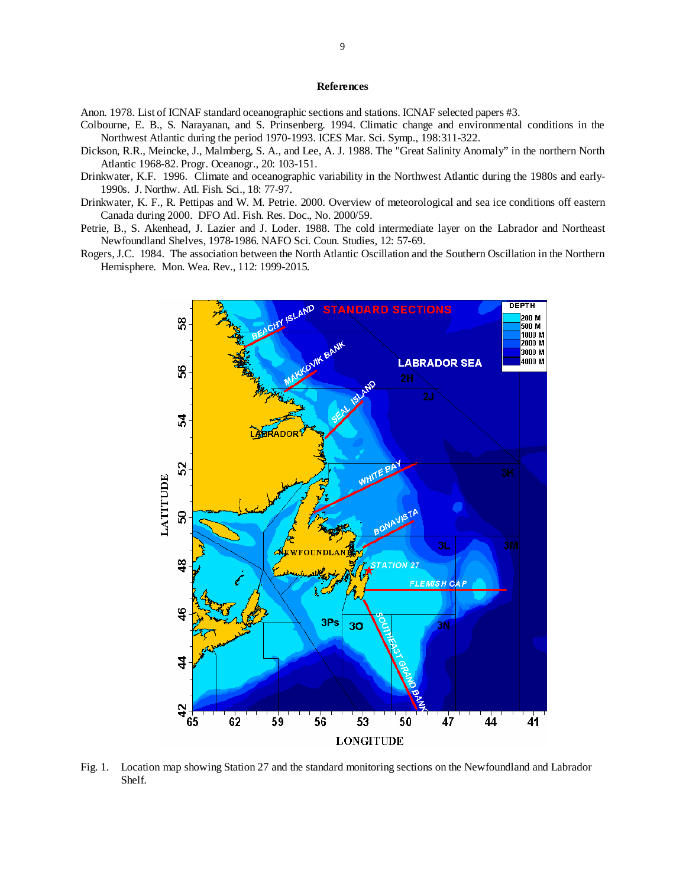# **References**

Anon. 1978. List of ICNAF standard oceanographic sections and stations. ICNAF selected papers #3.

- Colbourne, E. B., S. Narayanan, and S. Prinsenberg. 1994. Climatic change and environmental conditions in the Northwest Atlantic during the period 1970-1993. ICES Mar. Sci. Symp., 198:311-322.
- Dickson, R.R., Meincke, J., Malmberg, S. A., and Lee, A. J. 1988. The "Great Salinity Anomaly" in the northern North Atlantic 1968-82. Progr. Oceanogr., 20: 103-151.
- Drinkwater, K.F. 1996. Climate and oceanographic variability in the Northwest Atlantic during the 1980s and early-1990s. J. Northw. Atl. Fish. Sci., 18: 77-97.
- Drinkwater, K. F., R. Pettipas and W. M. Petrie. 2000. Overview of meteorological and sea ice conditions off eastern Canada during 2000. DFO Atl. Fish. Res. Doc., No. 2000/59.
- Petrie, B., S. Akenhead, J. Lazier and J. Loder. 1988. The cold intermediate layer on the Labrador and Northeast Newfoundland Shelves, 1978-1986. NAFO Sci. Coun. Studies, 12: 57-69.
- Rogers, J.C. 1984. The association between the North Atlantic Oscillation and the Southern Oscillation in the Northern Hemisphere. Mon. Wea. Rev., 112: 1999-2015.



Fig. 1. Location map showing Station 27 and the standard monitoring sections on the Newfoundland and Labrador Shelf.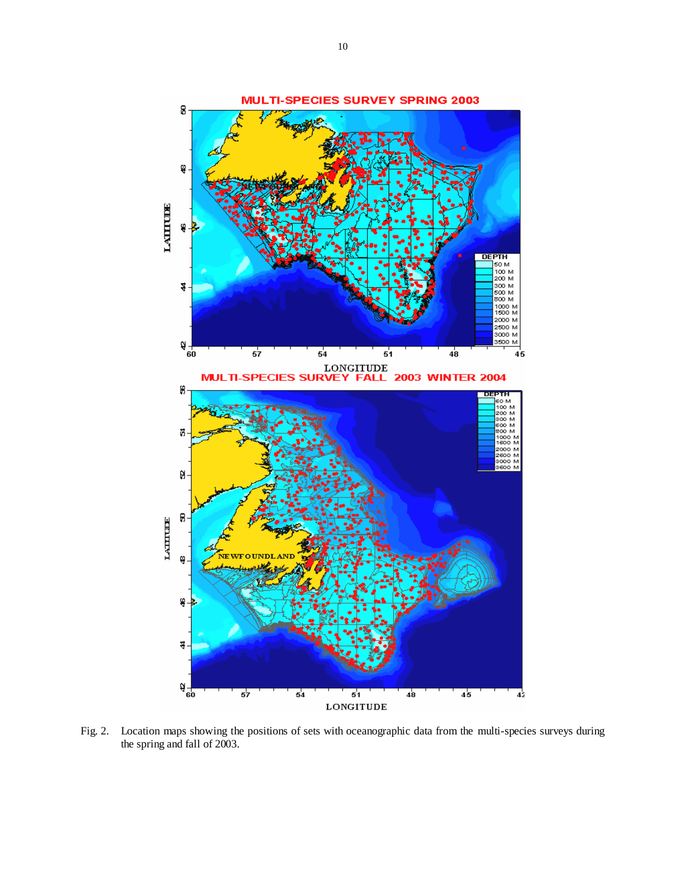

Fig. 2. Location maps showing the positions of sets with oceanographic data from the multi-species surveys during the spring and fall of 2003.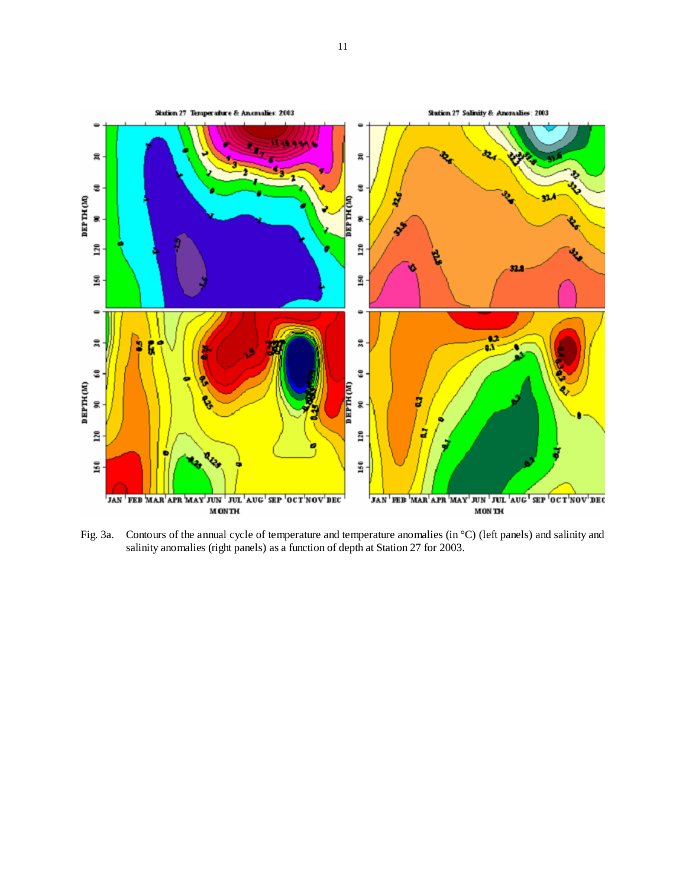

Fig. 3a. Contours of the annual cycle of temperature and temperature anomalies (in °C) (left panels) and salinity and salinity anomalies (right panels) as a function of depth at Station 27 for 2003.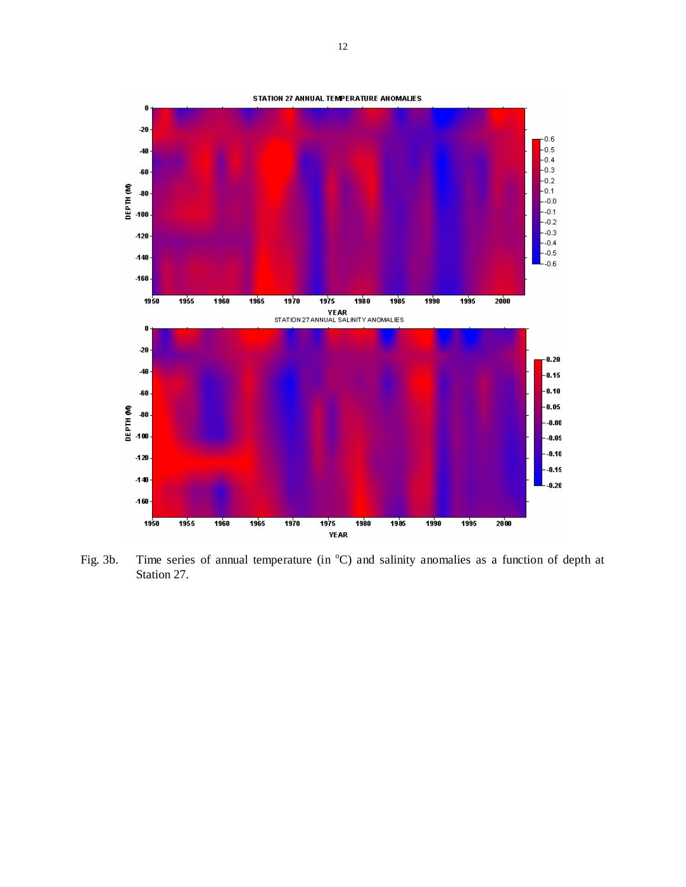

Fig. 3b. Time series of annual temperature (in  $^{\circ}$ C) and salinity anomalies as a function of depth at Station 27.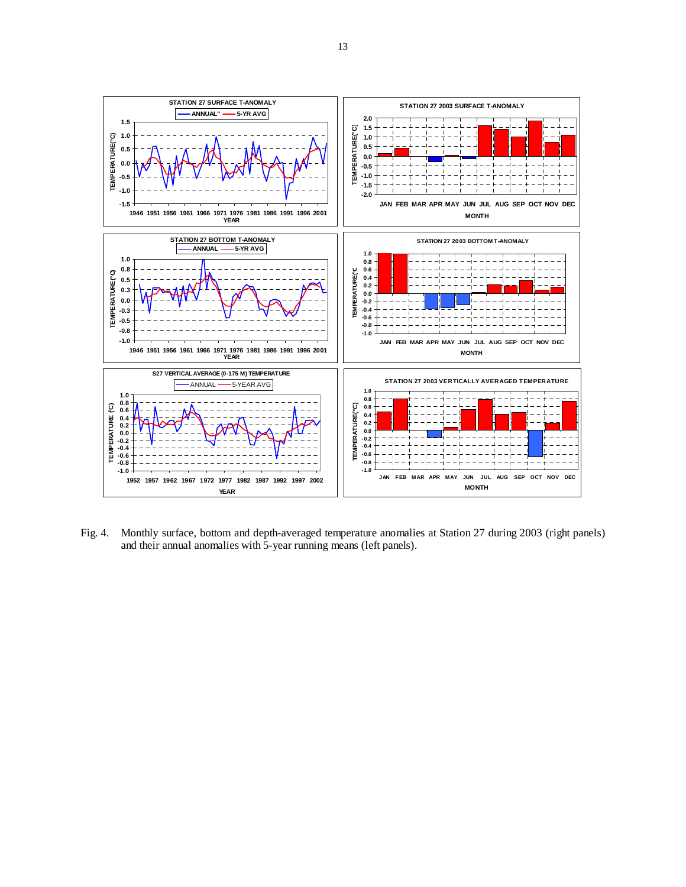

Fig. 4. Monthly surface, bottom and depth-averaged temperature anomalies at Station 27 during 2003 (right panels) and their annual anomalies with 5-year running means (left panels).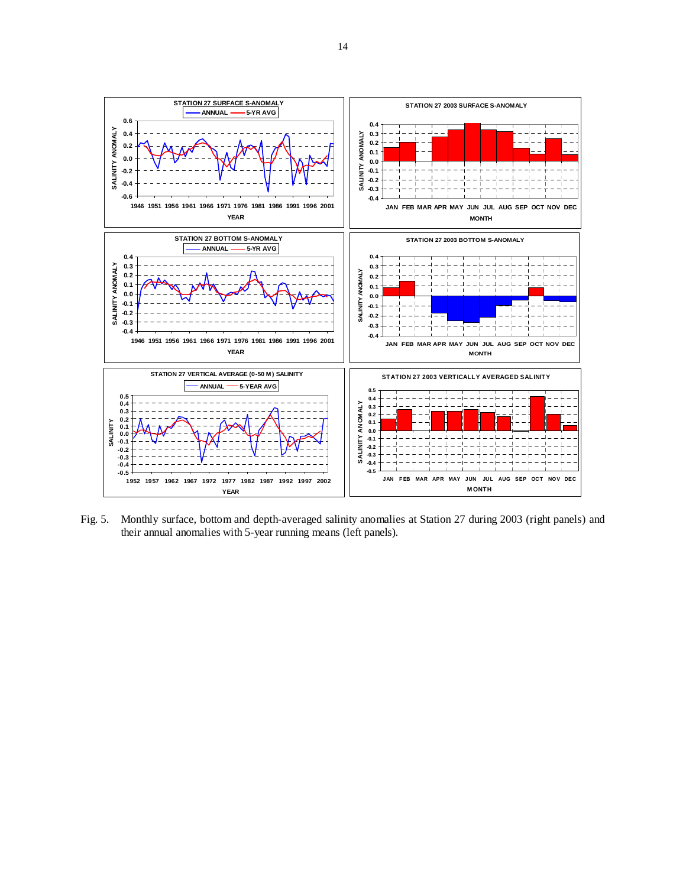

Fig. 5. Monthly surface, bottom and depth-averaged salinity anomalies at Station 27 during 2003 (right panels) and their annual anomalies with 5-year running means (left panels).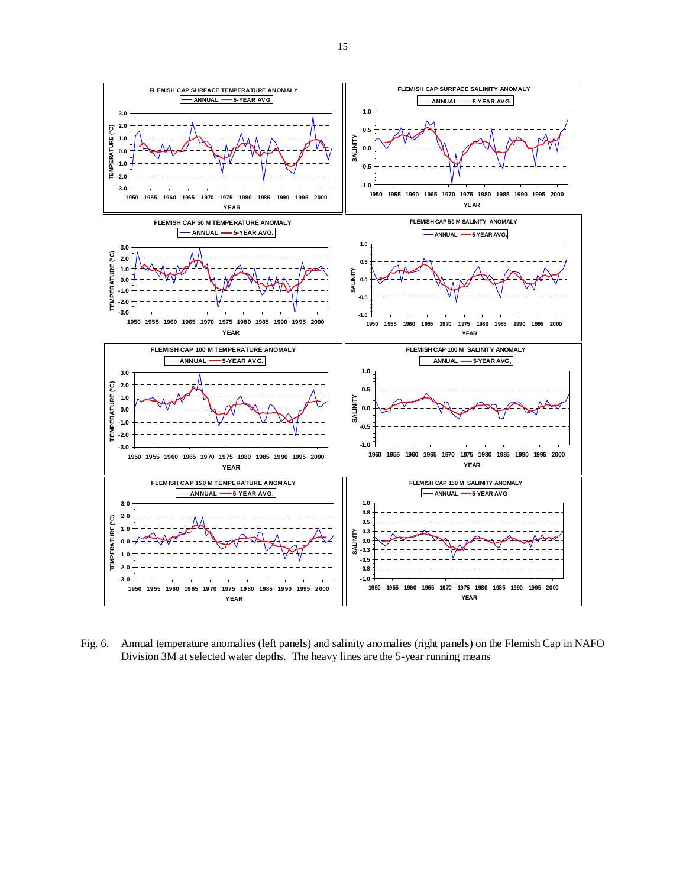

Fig. 6. Annual temperature anomalies (left panels) and salinity anomalies (right panels) on the Flemish Cap in NAFO Division 3M at selected water depths. The heavy lines are the 5-year running means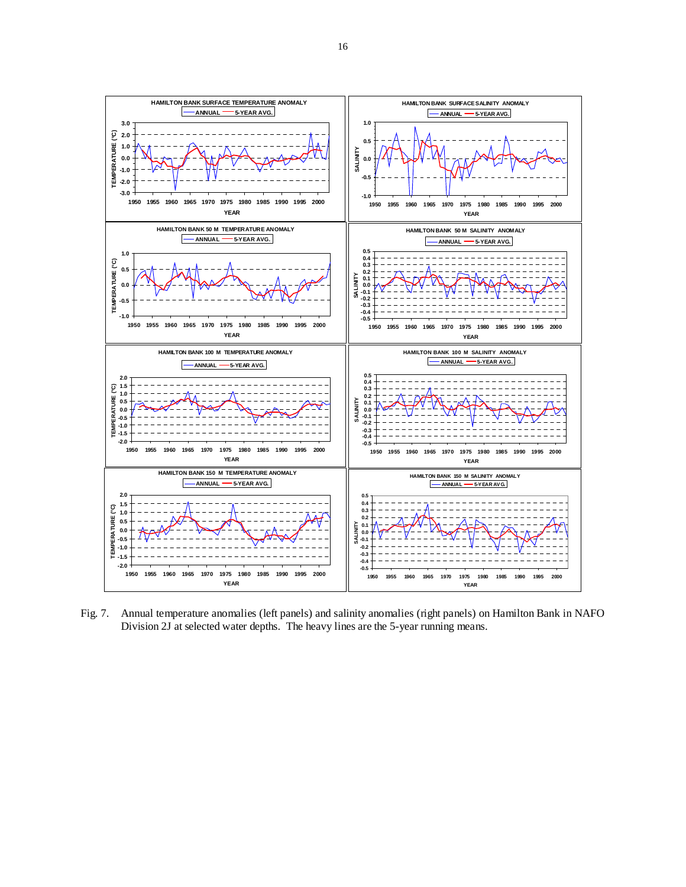

Fig. 7. Annual temperature anomalies (left panels) and salinity anomalies (right panels) on Hamilton Bank in NAFO Division 2J at selected water depths. The heavy lines are the 5-year running means.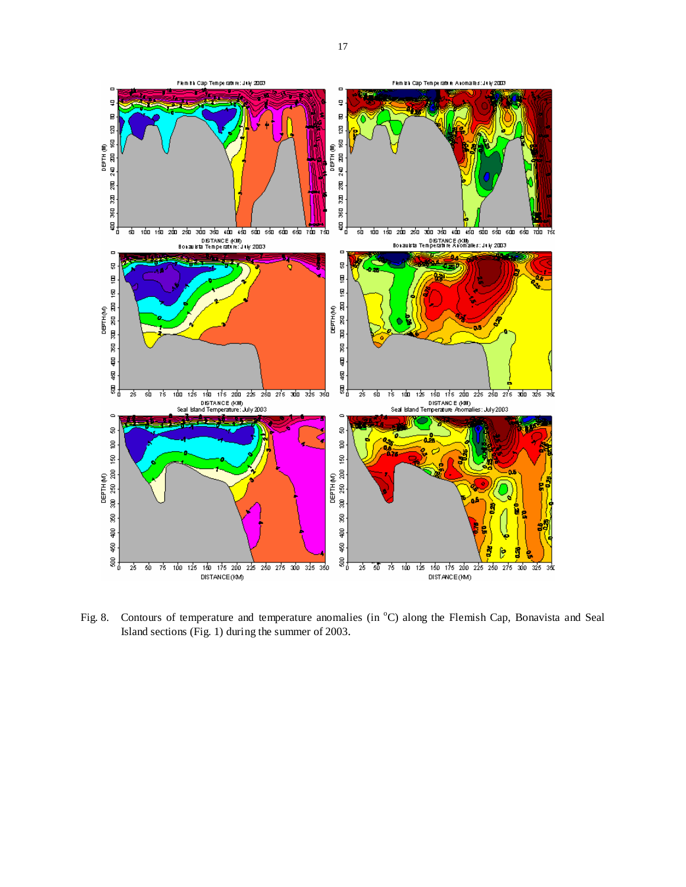

Fig. 8. Contours of temperature and temperature anomalies (in <sup>o</sup>C) along the Flemish Cap, Bonavista and Seal Island sections (Fig. 1) during the summer of 2003.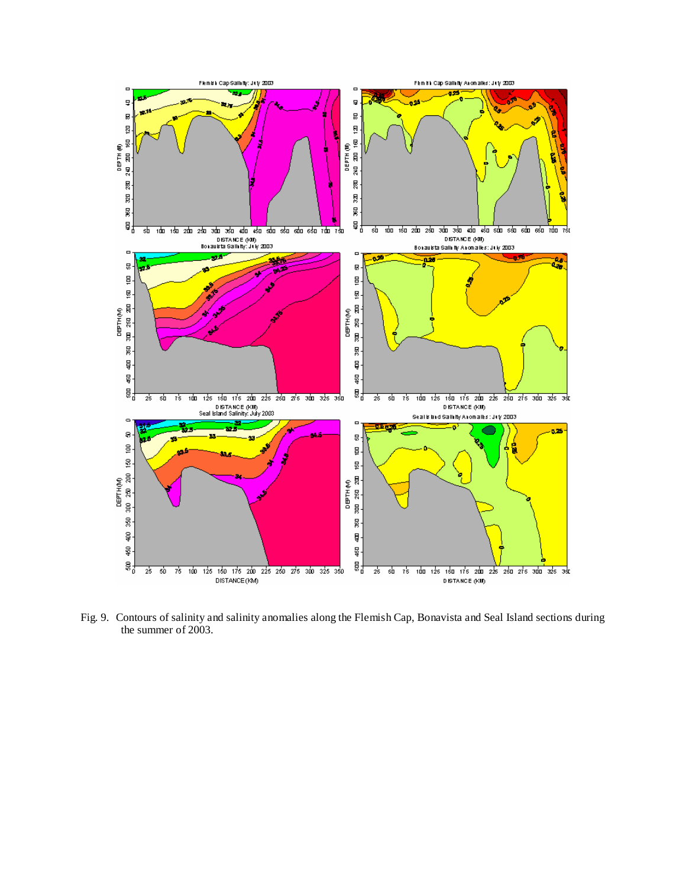

Fig. 9. Contours of salinity and salinity anomalies along the Flemish Cap, Bonavista and Seal Island sections during the summer of 2003.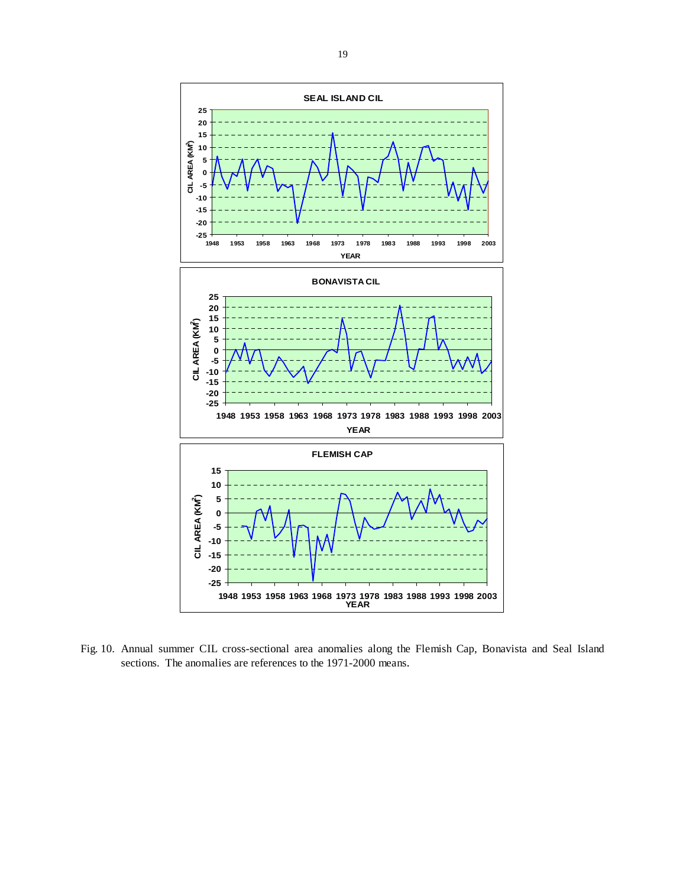

Fig. 10. Annual summer CIL cross-sectional area anomalies along the Flemish Cap, Bonavista and Seal Island sections. The anomalies are references to the 1971-2000 means.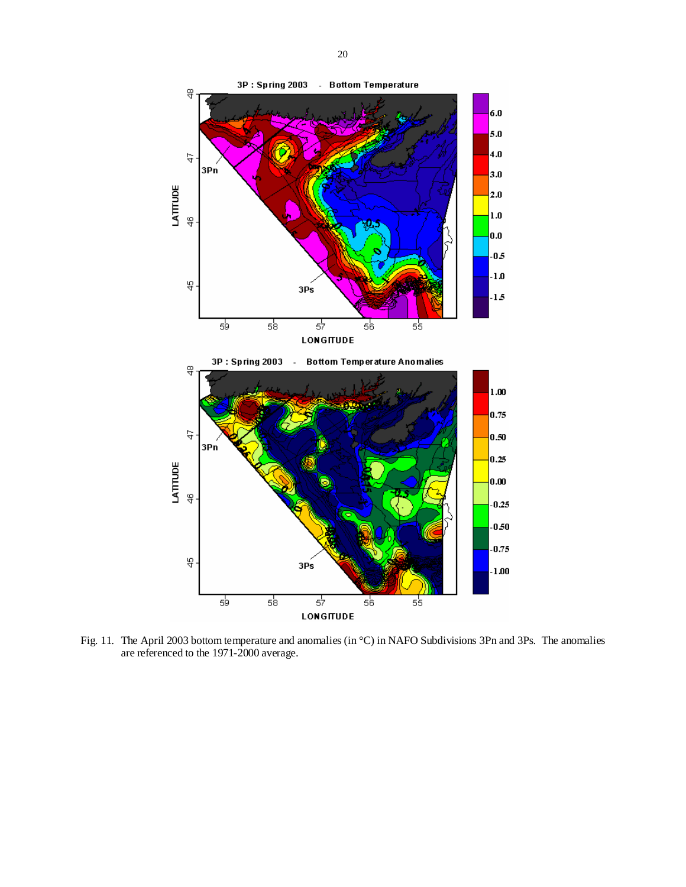

Fig. 11. The April 2003 bottom temperature and anomalies (in °C) in NAFO Subdivisions 3Pn and 3Ps. The anomalies are referenced to the 1971-2000 average.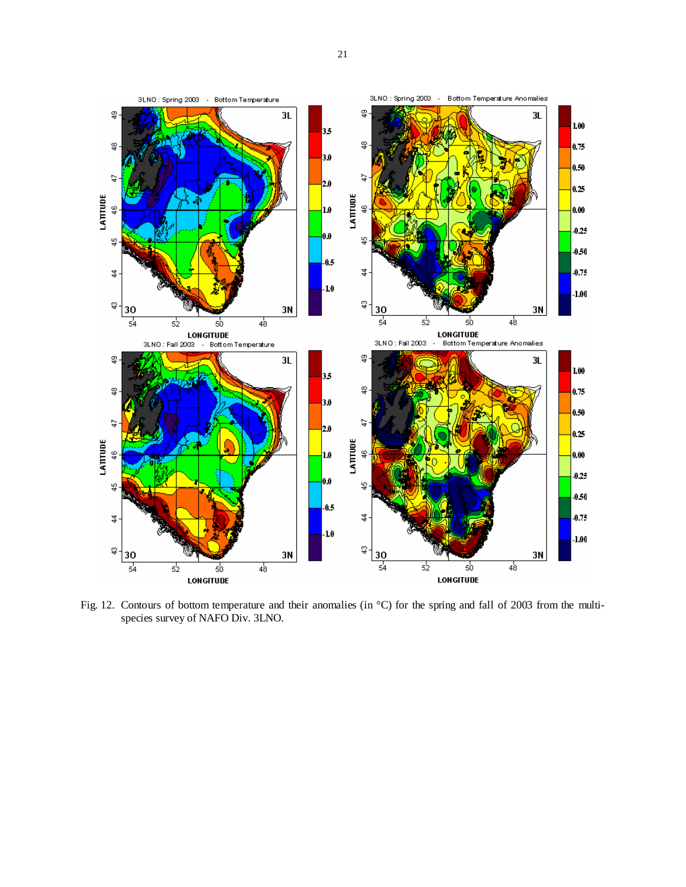

Fig. 12. Contours of bottom temperature and their anomalies (in °C) for the spring and fall of 2003 from the multispecies survey of NAFO Div. 3LNO.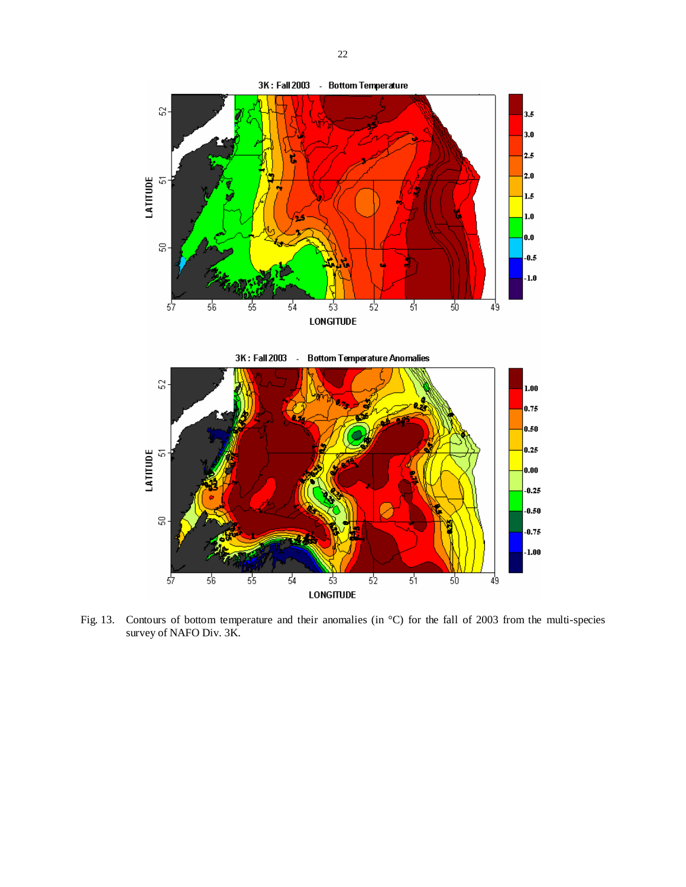

Fig. 13. Contours of bottom temperature and their anomalies (in °C) for the fall of 2003 from the multi-species survey of NAFO Div. 3K.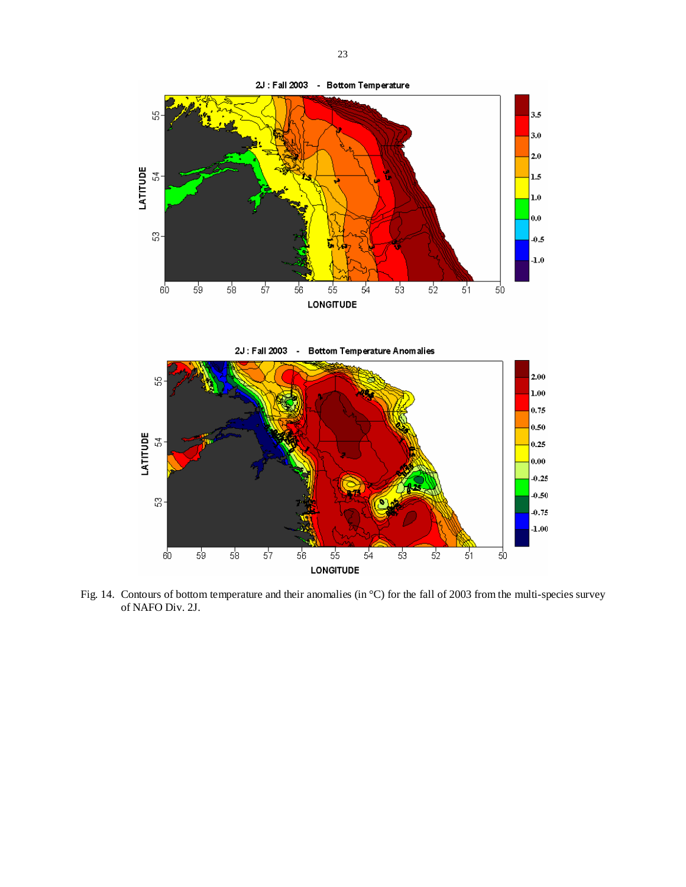

Fig. 14. Contours of bottom temperature and their anomalies (in °C) for the fall of 2003 from the multi-species survey of NAFO Div. 2J.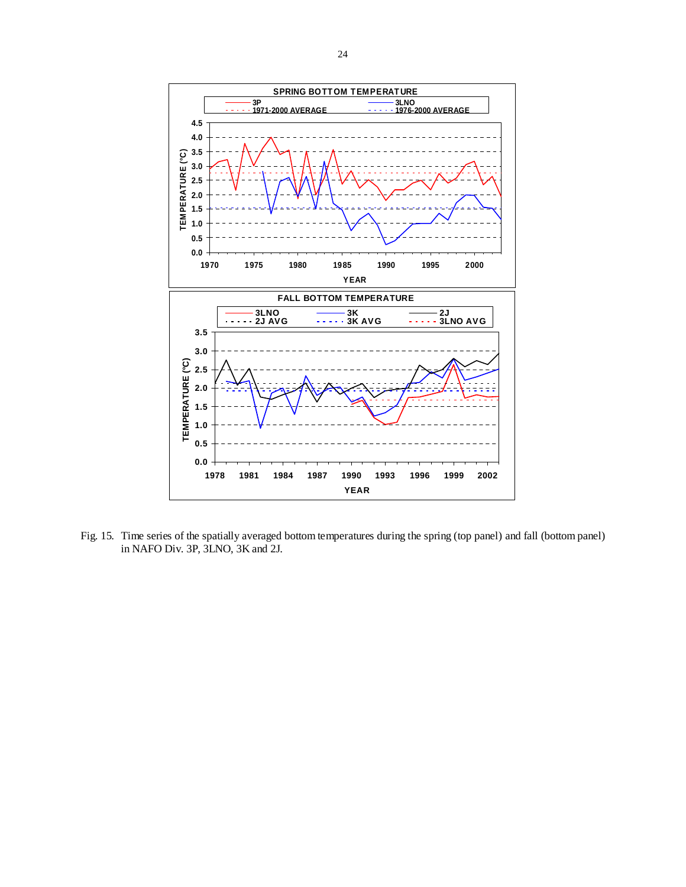

Fig. 15. Time series of the spatially averaged bottom temperatures during the spring (top panel) and fall (bottom panel) in NAFO Div. 3P, 3LNO, 3K and 2J.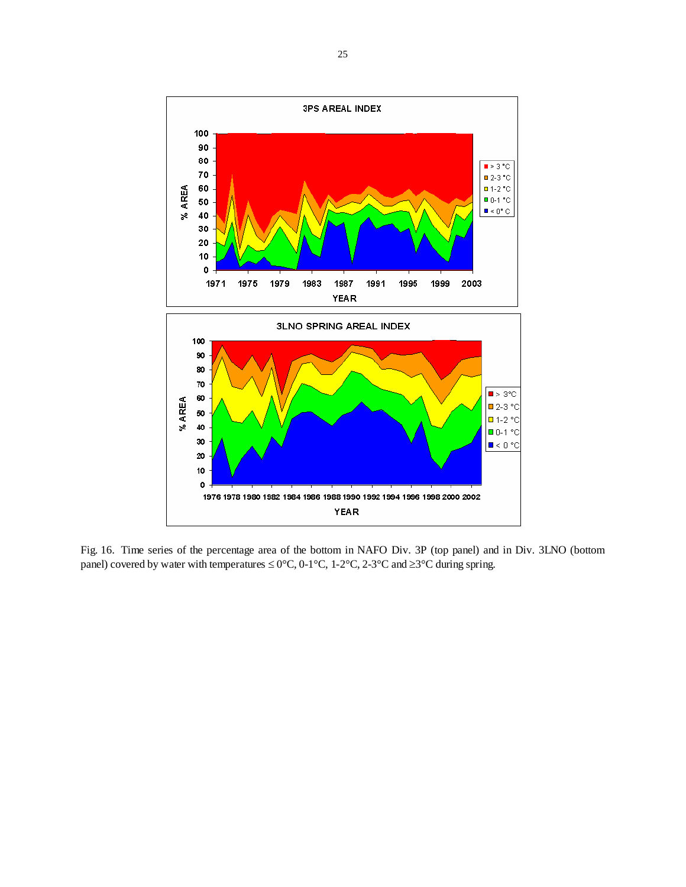

Fig. 16. Time series of the percentage area of the bottom in NAFO Div. 3P (top panel) and in Div. 3LNO (bottom panel) covered by water with temperatures  $\leq 0^{\circ}$ C, 0-1°C, 1-2°C, 2-3°C and  $\geq 3^{\circ}$ C during spring.